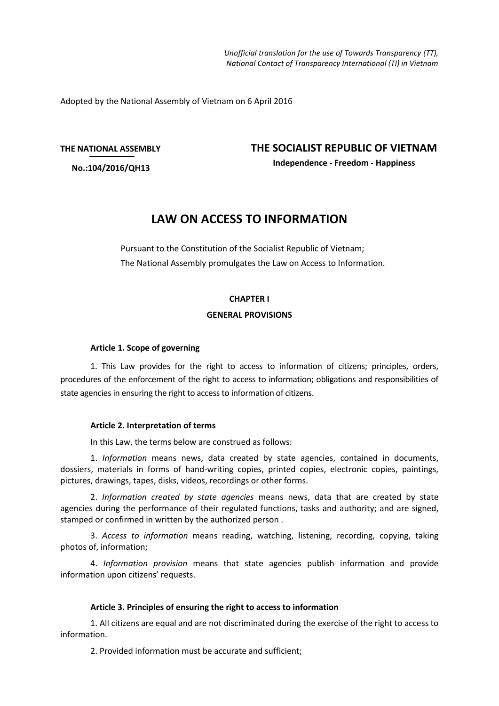*Unofficial translation for the use of Towards Transparency (TT), National Contact of Transparency International (TI) in Vietnam*

Adopted by the National Assembly of Vietnam on 6 April 2016

#### **THE NATIONAL ASSEMBLY**

**No.:104/2016/QH13**

**THE SOCIALIST REPUBLIC OF VIETNAM**

**Independence - Freedom - Happiness**

# **LAW ON ACCESS TO INFORMATION**

Pursuant to the Constitution of the Socialist Republic of Vietnam; The National Assembly promulgates the Law on Access to Information.

## **CHAPTER I**

#### **GENERAL PROVISIONS**

### **Article 1. Scope of governing**

1. This Law provides for the right to access to information of citizens; principles, orders, procedures of the enforcement of the right to access to information; obligations and responsibilities of state agencies in ensuring the right to access to information of citizens.

#### **Article 2. Interpretation of terms**

In this Law, the terms below are construed as follows:

1. *Information* means news, data created by state agencies, contained in documents, dossiers, materials in forms of hand-writing copies, printed copies, electronic copies, paintings, pictures, drawings, tapes, disks, videos, recordings or other forms.

2. *Information created by state agencies* means news, data that are created by state agencies during the performance of their regulated functions, tasks and authority; and are signed, stamped or confirmed in written by the authorized person .

3. *Access to information* means reading, watching, listening, recording, copying, taking photos of, information;

4. *Information provision* means that state agencies publish information and provide information upon citizens' requests.

#### **Article 3. Principles of ensuring the right to access to information**

1. All citizens are equal and are not discriminated during the exercise of the right to access to information.

2. Provided information must be accurate and sufficient;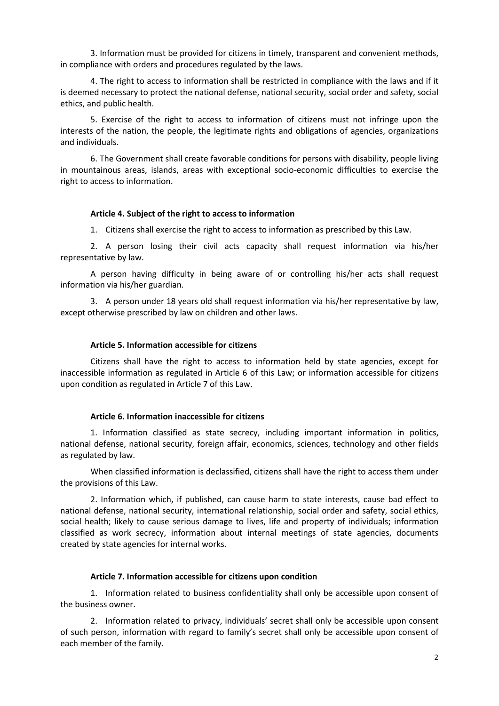3. Information must be provided for citizens in timely, transparent and convenient methods, in compliance with orders and procedures regulated by the laws.

4. The right to access to information shall be restricted in compliance with the laws and if it is deemed necessary to protect the national defense, national security, social order and safety, social ethics, and public health.

5. Exercise of the right to access to information of citizens must not infringe upon the interests of the nation, the people, the legitimate rights and obligations of agencies, organizations and individuals.

6. The Government shall create favorable conditions for persons with disability, people living in mountainous areas, islands, areas with exceptional socio-economic difficulties to exercise the right to access to information.

#### **Article 4. Subject of the right to access to information**

1. Citizens shall exercise the right to access to information as prescribed by this Law.

2. A person losing their civil acts capacity shall request information via his/her representative by law.

A person having difficulty in being aware of or controlling his/her acts shall request information via his/her guardian.

3. A person under 18 years old shall request information via his/her representative by law, except otherwise prescribed by law on children and other laws.

# **Article 5. Information accessible for citizens**

Citizens shall have the right to access to information held by state agencies, except for inaccessible information as regulated in Article 6 of this Law; or information accessible for citizens upon condition as regulated in Article 7 of this Law.

#### **Article 6. Information inaccessible for citizens**

1. Information classified as state secrecy, including important information in politics, national defense, national security, foreign affair, economics, sciences, technology and other fields as regulated by law.

When classified information is declassified, citizens shall have the right to access them under the provisions of this Law.

2. Information which, if published, can cause harm to state interests, cause bad effect to national defense, national security, international relationship, social order and safety, social ethics, social health; likely to cause serious damage to lives, life and property of individuals; information classified as work secrecy, information about internal meetings of state agencies, documents created by state agencies for internal works.

#### **Article 7. Information accessible for citizens upon condition**

1. Information related to business confidentiality shall only be accessible upon consent of the business owner.

2. Information related to privacy, individuals' secret shall only be accessible upon consent of such person, information with regard to family's secret shall only be accessible upon consent of each member of the family.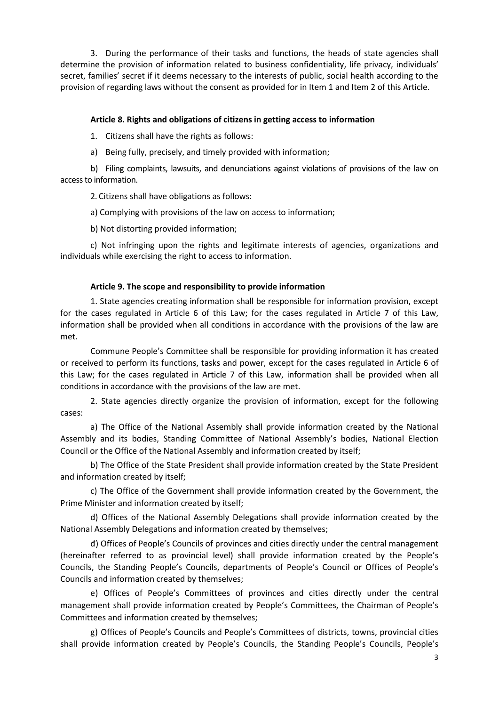3. During the performance of their tasks and functions, the heads of state agencies shall determine the provision of information related to business confidentiality, life privacy, individuals' secret, families' secret if it deems necessary to the interests of public, social health according to the provision of regarding laws without the consent as provided for in Item 1 and Item 2 of this Article.

# **Article 8. Rights and obligations of citizens in getting access to information**

1. Citizens shall have the rights as follows:

a) Being fully, precisely, and timely provided with information;

b) Filing complaints, lawsuits, and denunciations against violations of provisions of the law on access to information.

2. Citizens shall have obligations as follows:

a) Complying with provisions of the law on access to information;

b) Not distorting provided information;

c) Not infringing upon the rights and legitimate interests of agencies, organizations and individuals while exercising the right to access to information.

# **Article 9. The scope and responsibility to provide information**

1. State agencies creating information shall be responsible for information provision, except for the cases regulated in Article 6 of this Law; for the cases regulated in Article 7 of this Law, information shall be provided when all conditions in accordance with the provisions of the law are met.

Commune People's Committee shall be responsible for providing information it has created or received to perform its functions, tasks and power, except for the cases regulated in Article 6 of this Law; for the cases regulated in Article 7 of this Law, information shall be provided when all conditions in accordance with the provisions of the law are met.

2. State agencies directly organize the provision of information, except for the following cases:

a) The Office of the National Assembly shall provide information created by the National Assembly and its bodies, Standing Committee of National Assembly's bodies, National Election Council or the Office of the National Assembly and information created by itself;

b) The Office of the State President shall provide information created by the State President and information created by itself;

c) The Office of the Government shall provide information created by the Government, the Prime Minister and information created by itself;

d) Offices of the National Assembly Delegations shall provide information created by the National Assembly Delegations and information created by themselves;

đ) Offices of People's Councils of provinces and cities directly under the central management (hereinafter referred to as provincial level) shall provide information created by the People's Councils, the Standing People's Councils, departments of People's Council or Offices of People's Councils and information created by themselves;

e) Offices of People's Committees of provinces and cities directly under the central management shall provide information created by People's Committees, the Chairman of People's Committees and information created by themselves;

g) Offices of People's Councils and People's Committees of districts, towns, provincial cities shall provide information created by People's Councils, the Standing People's Councils, People's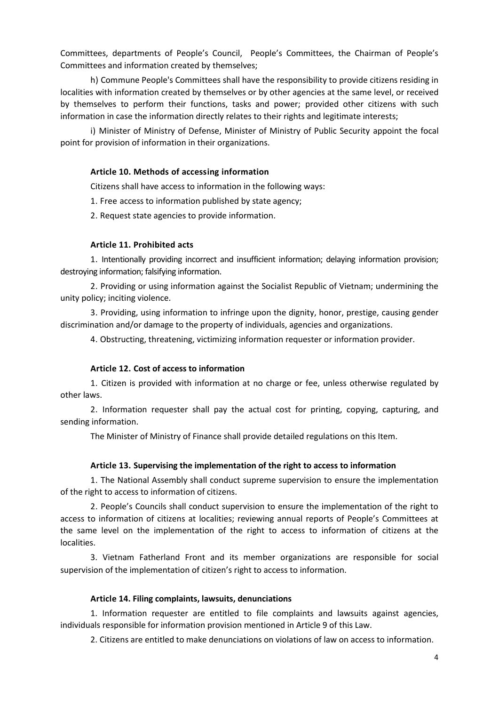Committees, departments of People's Council, People's Committees, the Chairman of People's Committees and information created by themselves;

h) Commune People's Committees shall have the responsibility to provide citizens residing in localities with information created by themselves or by other agencies at the same level, or received by themselves to perform their functions, tasks and power; provided other citizens with such information in case the information directly relates to their rights and legitimate interests;

i) Minister of Ministry of Defense, Minister of Ministry of Public Security appoint the focal point for provision of information in their organizations.

### **Article 10. Methods of accessing information**

Citizens shall have access to information in the following ways:

1. Free access to information published by state agency;

2. Request state agencies to provide information.

#### **Article 11. Prohibited acts**

1. Intentionally providing incorrect and insufficient information; delaying information provision; destroying information; falsifying information.

2. Providing or using information against the Socialist Republic of Vietnam; undermining the unity policy; inciting violence.

3. Providing, using information to infringe upon the dignity, honor, prestige, causing gender discrimination and/or damage to the property of individuals, agencies and organizations.

4. Obstructing, threatening, victimizing information requester or information provider.

# **Article 12. Cost of access to information**

1. Citizen is provided with information at no charge or fee, unless otherwise regulated by other laws.

2. Information requester shall pay the actual cost for printing, copying, capturing, and sending information.

The Minister of Ministry of Finance shall provide detailed regulations on this Item.

## **Article 13. Supervising the implementation of the right to access to information**

1. The National Assembly shall conduct supreme supervision to ensure the implementation of the right to access to information of citizens.

2. People's Councils shall conduct supervision to ensure the implementation of the right to access to information of citizens at localities; reviewing annual reports of People's Committees at the same level on the implementation of the right to access to information of citizens at the localities.

3. Vietnam Fatherland Front and its member organizations are responsible for social supervision of the implementation of citizen's right to access to information.

### **Article 14. Filing complaints, lawsuits, denunciations**

1. Information requester are entitled to file complaints and lawsuits against agencies, individuals responsible for information provision mentioned in Article 9 of this Law.

2. Citizens are entitled to make denunciations on violations of law on access to information.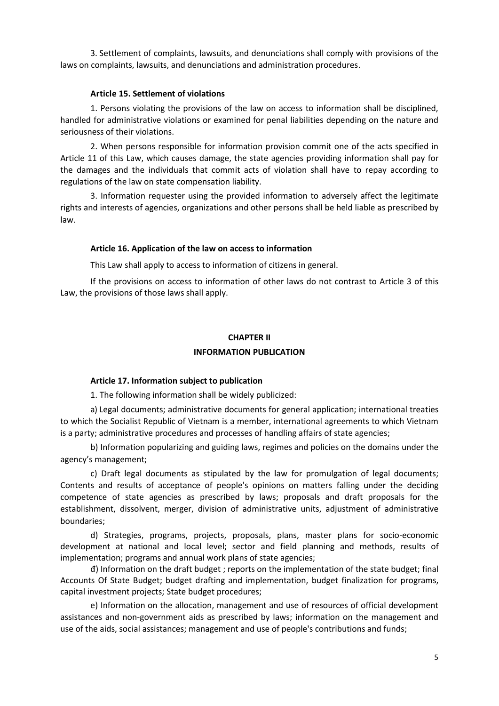3. Settlement of complaints, lawsuits, and denunciations shall comply with provisions of the laws on complaints, lawsuits, and denunciations and administration procedures.

## **Article 15. Settlement of violations**

1. Persons violating the provisions of the law on access to information shall be disciplined, handled for administrative violations or examined for penal liabilities depending on the nature and seriousness of their violations.

2. When persons responsible for information provision commit one of the acts specified in Article 11 of this Law, which causes damage, the state agencies providing information shall pay for the damages and the individuals that commit acts of violation shall have to repay according to regulations of the law on state compensation liability.

3. Information requester using the provided information to adversely affect the legitimate rights and interests of agencies, organizations and other persons shall be held liable as prescribed by law.

## **Article 16. Application of the law on access to information**

This Law shall apply to access to information of citizens in general.

If the provisions on access to information of other laws do not contrast to Article 3 of this Law, the provisions of those laws shall apply.

# **CHAPTER II INFORMATION PUBLICATION**

## **Article 17. Information subject to publication**

1. The following information shall be widely publicized:

a) Legal documents; administrative documents for general application; international treaties to which the Socialist Republic of Vietnam is a member, international agreements to which Vietnam is a party; administrative procedures and processes of handling affairs of state agencies;

b) Information popularizing and guiding laws, regimes and policies on the domains under the agency's management;

c) Draft legal documents as stipulated by the law for promulgation of legal documents; Contents and results of acceptance of people's opinions on matters falling under the deciding competence of state agencies as prescribed by laws; proposals and draft proposals for the establishment, dissolvent, merger, division of administrative units, adjustment of administrative boundaries;

d) Strategies, programs, projects, proposals, plans, master plans for socio-economic development at national and local level; sector and field planning and methods, results of implementation; programs and annual work plans of state agencies;

đ) Information on the draft budget ; reports on the implementation of the state budget; final Accounts Of State Budget; budget drafting and implementation, budget finalization for programs, capital investment projects; State budget procedures;

e) Information on the allocation, management and use of resources of official development assistances and non-government aids as prescribed by laws; information on the management and use of the aids, social assistances; management and use of people's contributions and funds;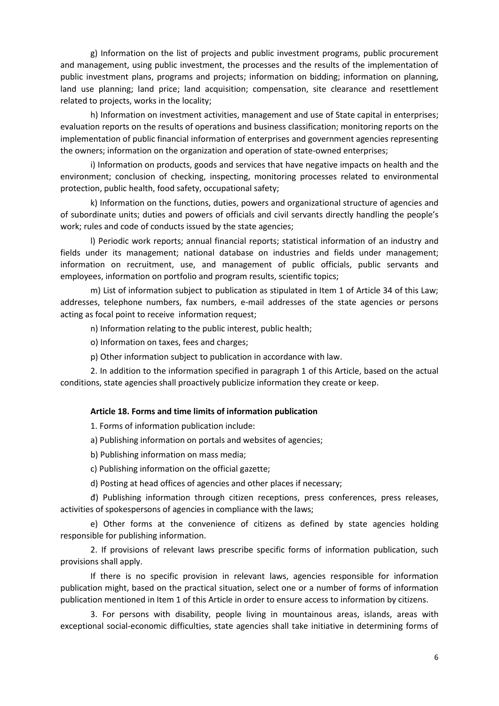g) Information on the list of projects and public investment programs, public procurement and management, using public investment, the processes and the results of the implementation of public investment plans, programs and projects; information on bidding; information on planning, land use planning; land price; land acquisition; compensation, site clearance and resettlement related to projects, works in the locality;

h) Information on investment activities, management and use of State capital in enterprises; evaluation reports on the results of operations and business classification; monitoring reports on the implementation of public financial information of enterprises and government agencies representing the owners; information on the organization and operation of state-owned enterprises;

i) Information on products, goods and services that have negative impacts on health and the environment; conclusion of checking, inspecting, monitoring processes related to environmental protection, public health, food safety, occupational safety;

k) Information on the functions, duties, powers and organizational structure of agencies and of subordinate units; duties and powers of officials and civil servants directly handling the people's work; rules and code of conducts issued by the state agencies;

l) Periodic work reports; annual financial reports; statistical information of an industry and fields under its management; national database on industries and fields under management; information on recruitment, use, and management of public officials, public servants and employees, information on portfolio and program results, scientific topics;

m) List of information subject to publication as stipulated in Item 1 of Article 34 of this Law; addresses, telephone numbers, fax numbers, e-mail addresses of the state agencies or persons acting as focal point to receive information request;

n) Information relating to the public interest, public health;

o) Information on taxes, fees and charges;

p) Other information subject to publication in accordance with law.

2. In addition to the information specified in paragraph 1 of this Article, based on the actual conditions, state agencies shall proactively publicize information they create or keep.

#### **Article 18. Forms and time limits of information publication**

1. Forms of information publication include:

- a) Publishing information on portals and websites of agencies;
- b) Publishing information on mass media;
- c) Publishing information on the official gazette;
- d) Posting at head offices of agencies and other places if necessary;

đ) Publishing information through citizen receptions, press conferences, press releases, activities of spokespersons of agencies in compliance with the laws;

e) Other forms at the convenience of citizens as defined by state agencies holding responsible for publishing information.

2. If provisions of relevant laws prescribe specific forms of information publication, such provisions shall apply.

If there is no specific provision in relevant laws, agencies responsible for information publication might, based on the practical situation, select one or a number of forms of information publication mentioned in Item 1 of this Article in order to ensure access to information by citizens.

3. For persons with disability, people living in mountainous areas, islands, areas with exceptional social-economic difficulties, state agencies shall take initiative in determining forms of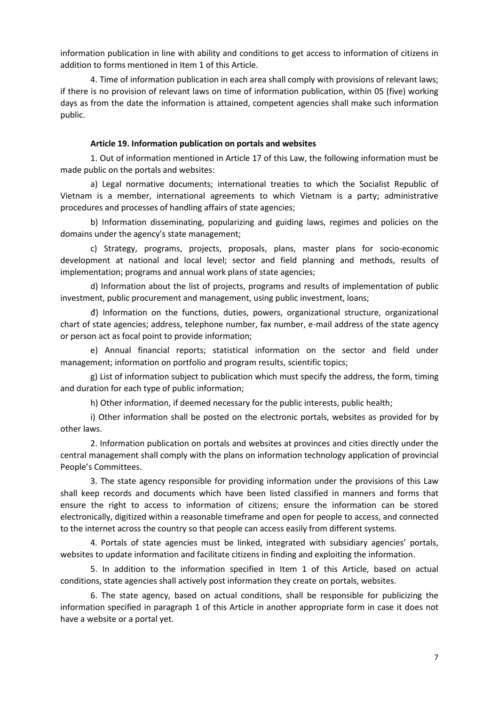information publication in line with ability and conditions to get access to information of citizens in addition to forms mentioned in Item 1 of this Article.

4. Time of information publication in each area shall comply with provisions of relevant laws; if there is no provision of relevant laws on time of information publication, within 05 (five) working days as from the date the information is attained, competent agencies shall make such information public.

#### **Article 19. Information publication on portals and websites**

1. Out of information mentioned in Article 17 of this Law, the following information must be made public on the portals and websites:

a) Legal normative documents; international treaties to which the Socialist Republic of Vietnam is a member, international agreements to which Vietnam is a party; administrative procedures and processes of handling affairs of state agencies;

b) Information disseminating, popularizing and guiding laws, regimes and policies on the domains under the agency's state management;

c) Strategy, programs, projects, proposals, plans, master plans for socio-economic development at national and local level; sector and field planning and methods, results of implementation; programs and annual work plans of state agencies;

d) Information about the list of projects, programs and results of implementation of public investment, public procurement and management, using public investment, loans;

đ) Information on the functions, duties, powers, organizational structure, organizational chart of state agencies; address, telephone number, fax number, e-mail address of the state agency or person act as focal point to provide information;

e) Annual financial reports; statistical information on the sector and field under management; information on portfolio and program results, scientific topics;

g) List of information subject to publication which must specify the address, the form, timing and duration for each type of public information;

h) Other information, if deemed necessary for the public interests, public health;

i) Other information shall be posted on the electronic portals, websites as provided for by other laws.

2. Information publication on portals and websites at provinces and cities directly under the central management shall comply with the plans on information technology application of provincial People's Committees.

3. The state agency responsible for providing information under the provisions of this Law shall keep records and documents which have been listed classified in manners and forms that ensure the right to access to information of citizens; ensure the information can be stored electronically, digitized within a reasonable timeframe and open for people to access, and connected to the internet across the country so that people can access easily from different systems.

4. Portals of state agencies must be linked, integrated with subsidiary agencies' portals, websites to update information and facilitate citizens in finding and exploiting the information.

5. In addition to the information specified in Item 1 of this Article, based on actual conditions, state agencies shall actively post information they create on portals, websites.

6. The state agency, based on actual conditions, shall be responsible for publicizing the information specified in paragraph 1 of this Article in another appropriate form in case it does not have a website or a portal yet.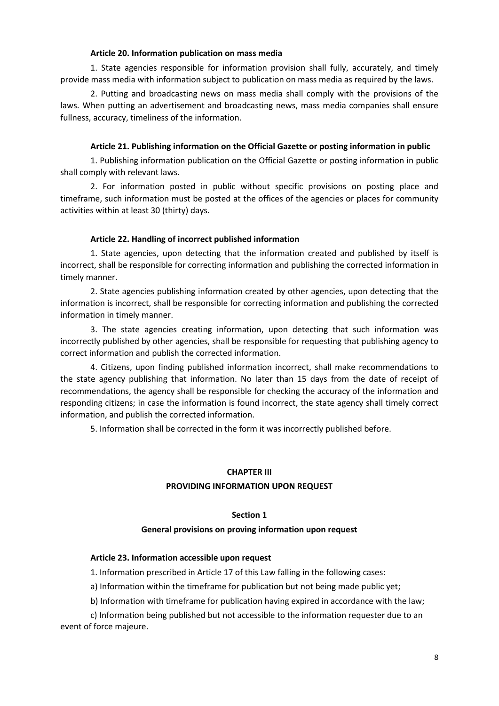# **Article 20. Information publication on mass media**

1. State agencies responsible for information provision shall fully, accurately, and timely provide mass media with information subject to publication on mass media as required by the laws.

2. Putting and broadcasting news on mass media shall comply with the provisions of the laws. When putting an advertisement and broadcasting news, mass media companies shall ensure fullness, accuracy, timeliness of the information.

# **Article 21. Publishing information on the Official Gazette or posting information in public**

1. Publishing information publication on the Official Gazette or posting information in public shall comply with relevant laws.

2. For information posted in public without specific provisions on posting place and timeframe, such information must be posted at the offices of the agencies or places for community activities within at least 30 (thirty) days.

## **Article 22. Handling of incorrect published information**

1. State agencies, upon detecting that the information created and published by itself is incorrect, shall be responsible for correcting information and publishing the corrected information in timely manner.

2. State agencies publishing information created by other agencies, upon detecting that the information is incorrect, shall be responsible for correcting information and publishing the corrected information in timely manner.

3. The state agencies creating information, upon detecting that such information was incorrectly published by other agencies, shall be responsible for requesting that publishing agency to correct information and publish the corrected information.

4. Citizens, upon finding published information incorrect, shall make recommendations to the state agency publishing that information. No later than 15 days from the date of receipt of recommendations, the agency shall be responsible for checking the accuracy of the information and responding citizens; in case the information is found incorrect, the state agency shall timely correct information, and publish the corrected information.

5. Information shall be corrected in the form it was incorrectly published before.

# **CHAPTER III**

# **PROVIDING INFORMATION UPON REQUEST**

## **Section 1**

## **General provisions on proving information upon request**

## **Article 23. Information accessible upon request**

1. Information prescribed in Article 17 of this Law falling in the following cases:

a) Information within the timeframe for publication but not being made public yet;

b) Information with timeframe for publication having expired in accordance with the law;

c) Information being published but not accessible to the information requester due to an event of force majeure.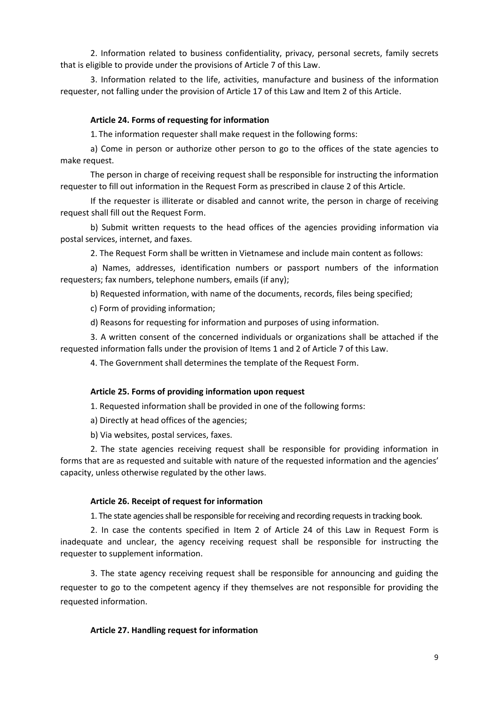2. Information related to business confidentiality, privacy, personal secrets, family secrets that is eligible to provide under the provisions of Article 7 of this Law.

3. Information related to the life, activities, manufacture and business of the information requester, not falling under the provision of Article 17 of this Law and Item 2 of this Article.

## **Article 24. Forms of requesting for information**

1. The information requester shall make request in the following forms:

a) Come in person or authorize other person to go to the offices of the state agencies to make request.

The person in charge of receiving request shall be responsible for instructing the information requester to fill out information in the Request Form as prescribed in clause 2 of this Article.

If the requester is illiterate or disabled and cannot write, the person in charge of receiving request shall fill out the Request Form.

b) Submit written requests to the head offices of the agencies providing information via postal services, internet, and faxes.

2. The Request Form shall be written in Vietnamese and include main content as follows:

a) Names, addresses, identification numbers or passport numbers of the information requesters; fax numbers, telephone numbers, emails (if any);

b) Requested information, with name of the documents, records, files being specified;

c) Form of providing information;

d) Reasons for requesting for information and purposes of using information.

3. A written consent of the concerned individuals or organizations shall be attached if the requested information falls under the provision of Items 1 and 2 of Article 7 of this Law.

4. The Government shall determines the template of the Request Form.

#### **Article 25. Forms of providing information upon request**

1. Requested information shall be provided in one of the following forms:

a) Directly at head offices of the agencies;

b) Via websites, postal services, faxes.

2. The state agencies receiving request shall be responsible for providing information in forms that are as requested and suitable with nature of the requested information and the agencies' capacity, unless otherwise regulated by the other laws.

#### **Article 26. Receipt of request for information**

1. The state agencies shall be responsible for receiving and recording requestsin tracking book.

2. In case the contents specified in Item 2 of Article 24 of this Law in Request Form is inadequate and unclear, the agency receiving request shall be responsible for instructing the requester to supplement information.

3. The state agency receiving request shall be responsible for announcing and guiding the requester to go to the competent agency if they themselves are not responsible for providing the requested information.

## **Article 27. Handling request for information**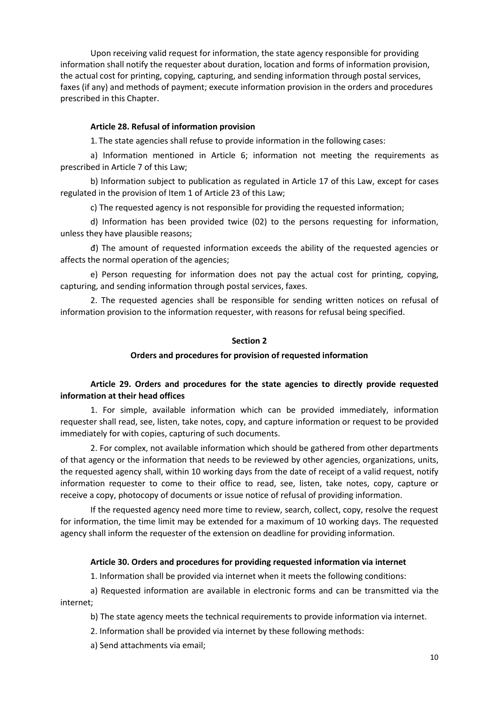Upon receiving valid request for information, the state agency responsible for providing information shall notify the requester about duration, location and forms of information provision, the actual cost for printing, copying, capturing, and sending information through postal services, faxes (if any) and methods of payment; execute information provision in the orders and procedures prescribed in this Chapter.

## **Article 28. Refusal of information provision**

1. The state agencies shall refuse to provide information in the following cases:

a) Information mentioned in Article 6; information not meeting the requirements as prescribed in Article 7 of this Law;

b) Information subject to publication as regulated in Article 17 of this Law, except for cases regulated in the provision of Item 1 of Article 23 of this Law;

c) The requested agency is not responsible for providing the requested information;

d) Information has been provided twice (02) to the persons requesting for information, unless they have plausible reasons;

đ) The amount of requested information exceeds the ability of the requested agencies or affects the normal operation of the agencies;

e) Person requesting for information does not pay the actual cost for printing, copying, capturing, and sending information through postal services, faxes.

2. The requested agencies shall be responsible for sending written notices on refusal of information provision to the information requester, with reasons for refusal being specified.

#### **Section 2**

## **Orders and procedures for provision of requested information**

# **Article 29. Orders and procedures for the state agencies to directly provide requested information at their head offices**

1. For simple, available information which can be provided immediately, information requester shall read, see, listen, take notes, copy, and capture information or request to be provided immediately for with copies, capturing of such documents.

2. For complex, not available information which should be gathered from other departments of that agency or the information that needs to be reviewed by other agencies, organizations, units, the requested agency shall, within 10 working days from the date of receipt of a valid request, notify information requester to come to their office to read, see, listen, take notes, copy, capture or receive a copy, photocopy of documents or issue notice of refusal of providing information.

If the requested agency need more time to review, search, collect, copy, resolve the request for information, the time limit may be extended for a maximum of 10 working days. The requested agency shall inform the requester of the extension on deadline for providing information.

## **Article 30. Orders and procedures for providing requested information via internet**

1. Information shall be provided via internet when it meets the following conditions:

a) Requested information are available in electronic forms and can be transmitted via the internet;

b) The state agency meets the technical requirements to provide information via internet.

2. Information shall be provided via internet by these following methods:

a) Send attachments via email;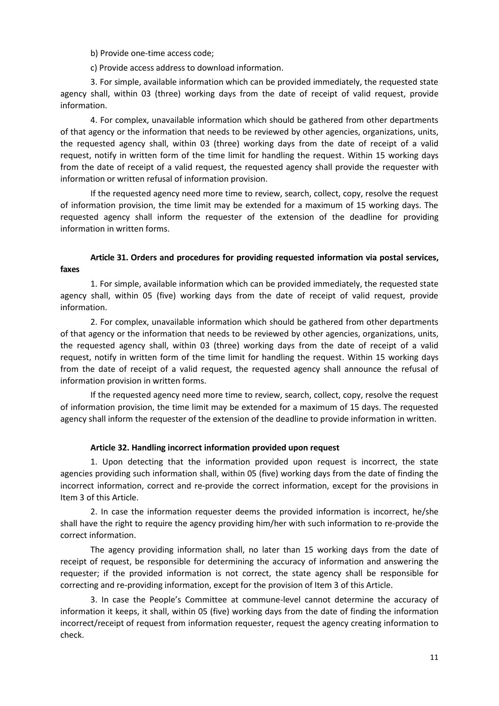b) Provide one-time access code;

c) Provide access address to download information.

3. For simple, available information which can be provided immediately, the requested state agency shall, within 03 (three) working days from the date of receipt of valid request, provide information.

4. For complex, unavailable information which should be gathered from other departments of that agency or the information that needs to be reviewed by other agencies, organizations, units, the requested agency shall, within 03 (three) working days from the date of receipt of a valid request, notify in written form of the time limit for handling the request. Within 15 working days from the date of receipt of a valid request, the requested agency shall provide the requester with information or written refusal of information provision.

If the requested agency need more time to review, search, collect, copy, resolve the request of information provision, the time limit may be extended for a maximum of 15 working days. The requested agency shall inform the requester of the extension of the deadline for providing information in written forms.

# **Article 31. Orders and procedures for providing requested information via postal services, faxes**

1. For simple, available information which can be provided immediately, the requested state agency shall, within 05 (five) working days from the date of receipt of valid request, provide information.

2. For complex, unavailable information which should be gathered from other departments of that agency or the information that needs to be reviewed by other agencies, organizations, units, the requested agency shall, within 03 (three) working days from the date of receipt of a valid request, notify in written form of the time limit for handling the request. Within 15 working days from the date of receipt of a valid request, the requested agency shall announce the refusal of information provision in written forms.

If the requested agency need more time to review, search, collect, copy, resolve the request of information provision, the time limit may be extended for a maximum of 15 days. The requested agency shall inform the requester of the extension of the deadline to provide information in written.

## **Article 32. Handling incorrect information provided upon request**

1. Upon detecting that the information provided upon request is incorrect, the state agencies providing such information shall, within 05 (five) working days from the date of finding the incorrect information, correct and re-provide the correct information, except for the provisions in Item 3 of this Article.

2. In case the information requester deems the provided information is incorrect, he/she shall have the right to require the agency providing him/her with such information to re-provide the correct information.

The agency providing information shall, no later than 15 working days from the date of receipt of request, be responsible for determining the accuracy of information and answering the requester; if the provided information is not correct, the state agency shall be responsible for correcting and re-providing information, except for the provision of Item 3 of this Article.

3. In case the People's Committee at commune-level cannot determine the accuracy of information it keeps, it shall, within 05 (five) working days from the date of finding the information incorrect/receipt of request from information requester, request the agency creating information to check.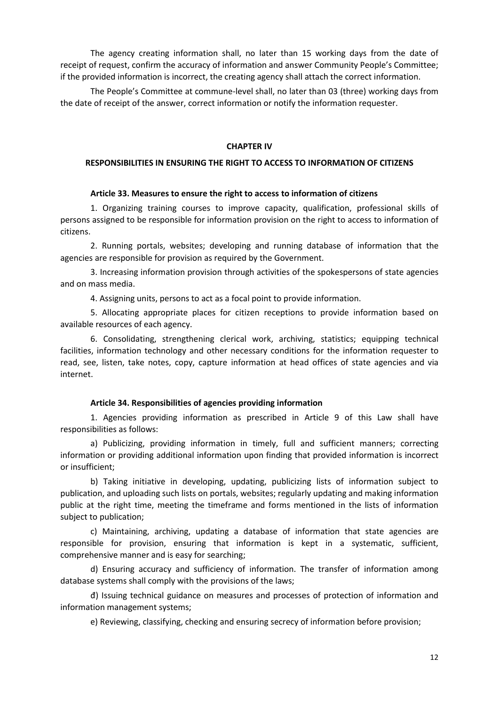The agency creating information shall, no later than 15 working days from the date of receipt of request, confirm the accuracy of information and answer Community People's Committee; if the provided information is incorrect, the creating agency shall attach the correct information.

The People's Committee at commune-level shall, no later than 03 (three) working days from the date of receipt of the answer, correct information or notify the information requester.

#### **CHAPTER IV**

# **RESPONSIBILITIES IN ENSURING THE RIGHT TO ACCESS TO INFORMATION OF CITIZENS**

#### **Article 33. Measures to ensure the right to access to information of citizens**

1. Organizing training courses to improve capacity, qualification, professional skills of persons assigned to be responsible for information provision on the right to access to information of citizens.

2. Running portals, websites; developing and running database of information that the agencies are responsible for provision as required by the Government.

3. Increasing information provision through activities of the spokespersons of state agencies and on mass media.

4. Assigning units, persons to act as a focal point to provide information.

5. Allocating appropriate places for citizen receptions to provide information based on available resources of each agency.

6. Consolidating, strengthening clerical work, archiving, statistics; equipping technical facilities, information technology and other necessary conditions for the information requester to read, see, listen, take notes, copy, capture information at head offices of state agencies and via internet.

## **Article 34. Responsibilities of agencies providing information**

1. Agencies providing information as prescribed in Article 9 of this Law shall have responsibilities as follows:

a) Publicizing, providing information in timely, full and sufficient manners; correcting information or providing additional information upon finding that provided information is incorrect or insufficient;

b) Taking initiative in developing, updating, publicizing lists of information subject to publication, and uploading such lists on portals, websites; regularly updating and making information public at the right time, meeting the timeframe and forms mentioned in the lists of information subject to publication;

c) Maintaining, archiving, updating a database of information that state agencies are responsible for provision, ensuring that information is kept in a systematic, sufficient, comprehensive manner and is easy for searching;

d) Ensuring accuracy and sufficiency of information. The transfer of information among database systems shall comply with the provisions of the laws;

đ) Issuing technical guidance on measures and processes of protection of information and information management systems;

e) Reviewing, classifying, checking and ensuring secrecy of information before provision;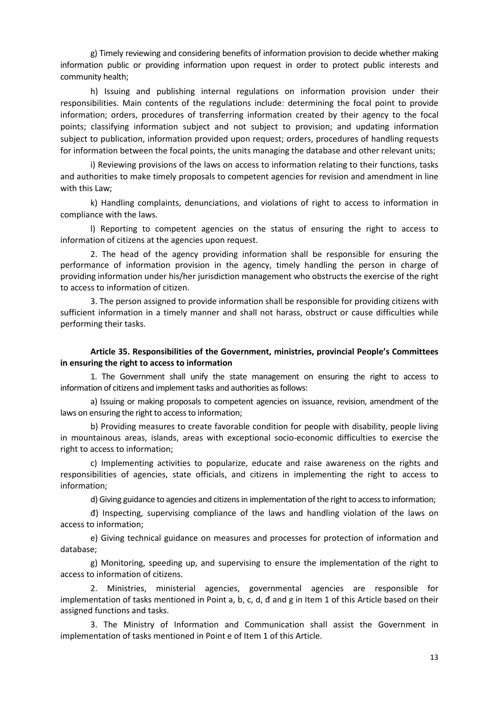g) Timely reviewing and considering benefits of information provision to decide whether making information public or providing information upon request in order to protect public interests and community health;

h) Issuing and publishing internal regulations on information provision under their responsibilities. Main contents of the regulations include: determining the focal point to provide information; orders, procedures of transferring information created by their agency to the focal points; classifying information subject and not subject to provision; and updating information subject to publication, information provided upon request; orders, procedures of handling requests for information between the focal points, the units managing the database and other relevant units;

i) Reviewing provisions of the laws on access to information relating to their functions, tasks and authorities to make timely proposals to competent agencies for revision and amendment in line with this Law;

k) Handling complaints, denunciations, and violations of right to access to information in compliance with the laws.

l) Reporting to competent agencies on the status of ensuring the right to access to information of citizens at the agencies upon request.

2. The head of the agency providing information shall be responsible for ensuring the performance of information provision in the agency, timely handling the person in charge of providing information under his/her jurisdiction management who obstructs the exercise of the right to access to information of citizen.

3. The person assigned to provide information shall be responsible for providing citizens with sufficient information in a timely manner and shall not harass, obstruct or cause difficulties while performing their tasks.

# **Article 35. Responsibilities of the Government, ministries, provincial People's Committees in ensuring the right to access to information**

1. The Government shall unify the state management on ensuring the right to access to information of citizens and implement tasks and authorities as follows:

a) Issuing or making proposals to competent agencies on issuance, revision, amendment of the laws on ensuring the right to access to information;

b) Providing measures to create favorable condition for people with disability, people living in mountainous areas, islands, areas with exceptional socio-economic difficulties to exercise the right to access to information;

c) Implementing activities to popularize, educate and raise awareness on the rights and responsibilities of agencies, state officials, and citizens in implementing the right to access to information;

d) Giving guidance to agencies and citizens in implementation of the right to access to information;

đ) Inspecting, supervising compliance of the laws and handling violation of the laws on access to information;

e) Giving technical guidance on measures and processes for protection of information and database;

g) Monitoring, speeding up, and supervising to ensure the implementation of the right to access to information of citizens.

2. Ministries, ministerial agencies, governmental agencies are responsible for implementation of tasks mentioned in Point a, b, c, d, đ and g in Item 1 of this Article based on their assigned functions and tasks.

3. The Ministry of Information and Communication shall assist the Government in implementation of tasks mentioned in Point e of Item 1 of this Article.